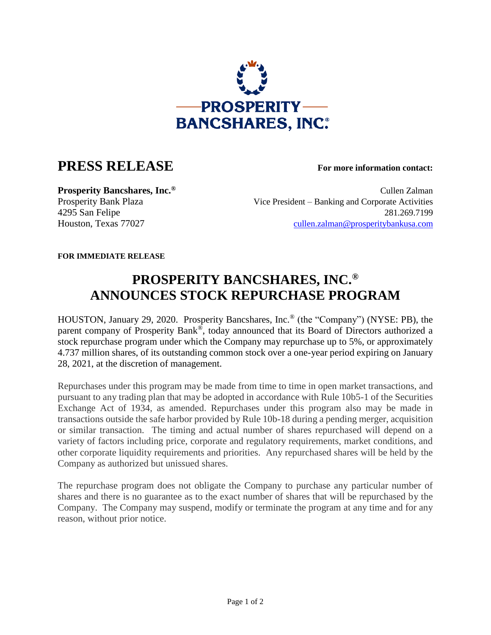

## **PRESS RELEASE For more information contact:**

**Prosperity Bancshares, Inc.**<sup>®</sup> Cullen Zalman Cullen Zalman Prosperity Bank Plaza Vice President – Banking and Corporate Activities 4295 San Felipe 281.269.7199 Houston, Texas 77027 [cullen.zalman@prosperitybankusa.com](mailto:cullen.zalman@prosperitybankusa.com)

**FOR IMMEDIATE RELEASE**

## **PROSPERITY BANCSHARES, INC.® ANNOUNCES STOCK REPURCHASE PROGRAM**

HOUSTON, January 29, 2020. Prosperity Bancshares, Inc.® (the "Company") (NYSE: PB), the parent company of Prosperity Bank®, today announced that its Board of Directors authorized a stock repurchase program under which the Company may repurchase up to 5%, or approximately 4.737 million shares, of its outstanding common stock over a one-year period expiring on January 28, 2021, at the discretion of management.

Repurchases under this program may be made from time to time in open market transactions, and pursuant to any trading plan that may be adopted in accordance with Rule 10b5-1 of the Securities Exchange Act of 1934, as amended. Repurchases under this program also may be made in transactions outside the safe harbor provided by Rule 10b-18 during a pending merger, acquisition or similar transaction. The timing and actual number of shares repurchased will depend on a variety of factors including price, corporate and regulatory requirements, market conditions, and other corporate liquidity requirements and priorities. Any repurchased shares will be held by the Company as authorized but unissued shares.

The repurchase program does not obligate the Company to purchase any particular number of shares and there is no guarantee as to the exact number of shares that will be repurchased by the Company. The Company may suspend, modify or terminate the program at any time and for any reason, without prior notice.